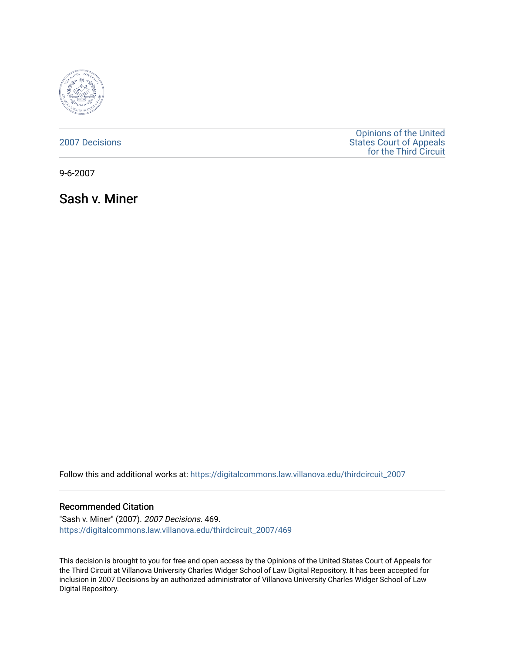

[2007 Decisions](https://digitalcommons.law.villanova.edu/thirdcircuit_2007)

[Opinions of the United](https://digitalcommons.law.villanova.edu/thirdcircuit)  [States Court of Appeals](https://digitalcommons.law.villanova.edu/thirdcircuit)  [for the Third Circuit](https://digitalcommons.law.villanova.edu/thirdcircuit) 

9-6-2007

Sash v. Miner

Follow this and additional works at: [https://digitalcommons.law.villanova.edu/thirdcircuit\\_2007](https://digitalcommons.law.villanova.edu/thirdcircuit_2007?utm_source=digitalcommons.law.villanova.edu%2Fthirdcircuit_2007%2F469&utm_medium=PDF&utm_campaign=PDFCoverPages) 

### Recommended Citation

"Sash v. Miner" (2007). 2007 Decisions. 469. [https://digitalcommons.law.villanova.edu/thirdcircuit\\_2007/469](https://digitalcommons.law.villanova.edu/thirdcircuit_2007/469?utm_source=digitalcommons.law.villanova.edu%2Fthirdcircuit_2007%2F469&utm_medium=PDF&utm_campaign=PDFCoverPages)

This decision is brought to you for free and open access by the Opinions of the United States Court of Appeals for the Third Circuit at Villanova University Charles Widger School of Law Digital Repository. It has been accepted for inclusion in 2007 Decisions by an authorized administrator of Villanova University Charles Widger School of Law Digital Repository.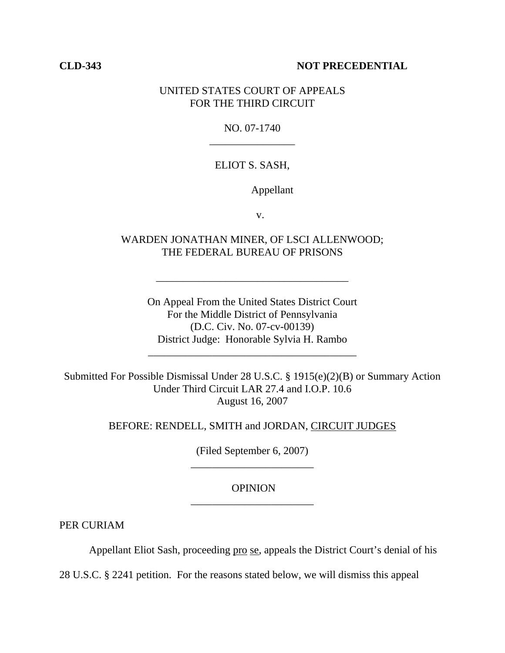## **CLD-343 NOT PRECEDENTIAL**

# UNITED STATES COURT OF APPEALS FOR THE THIRD CIRCUIT

## NO. 07-1740 \_\_\_\_\_\_\_\_\_\_\_\_\_\_\_\_

# ELIOT S. SASH,

Appellant

v.

# WARDEN JONATHAN MINER, OF LSCI ALLENWOOD; THE FEDERAL BUREAU OF PRISONS

\_\_\_\_\_\_\_\_\_\_\_\_\_\_\_\_\_\_\_\_\_\_\_\_\_\_\_\_\_\_\_\_\_\_\_\_

On Appeal From the United States District Court For the Middle District of Pennsylvania (D.C. Civ. No. 07-cv-00139) District Judge: Honorable Sylvia H. Rambo

\_\_\_\_\_\_\_\_\_\_\_\_\_\_\_\_\_\_\_\_\_\_\_\_\_\_\_\_\_\_\_\_\_\_\_\_\_\_\_

Submitted For Possible Dismissal Under 28 U.S.C. § 1915(e)(2)(B) or Summary Action Under Third Circuit LAR 27.4 and I.O.P. 10.6 August 16, 2007

## BEFORE: RENDELL, SMITH and JORDAN, CIRCUIT JUDGES

(Filed September 6, 2007) \_\_\_\_\_\_\_\_\_\_\_\_\_\_\_\_\_\_\_\_\_\_\_

## OPINION \_\_\_\_\_\_\_\_\_\_\_\_\_\_\_\_\_\_\_\_\_\_\_

PER CURIAM

Appellant Eliot Sash, proceeding pro se, appeals the District Court's denial of his

28 U.S.C. § 2241 petition. For the reasons stated below, we will dismiss this appeal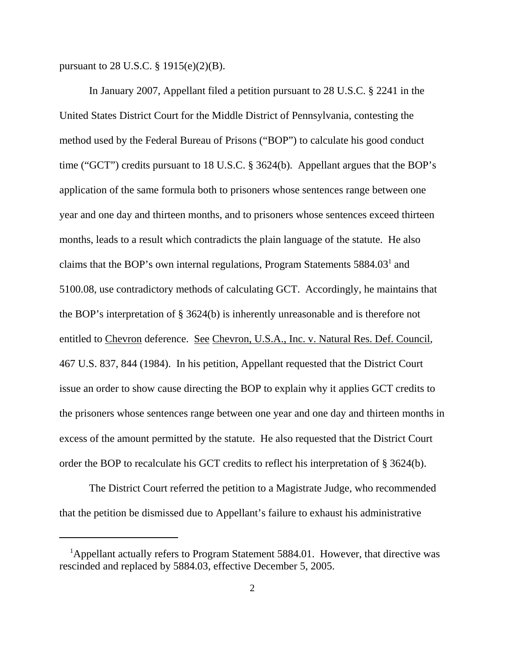pursuant to 28 U.S.C. § 1915(e)(2)(B).

In January 2007, Appellant filed a petition pursuant to 28 U.S.C. § 2241 in the United States District Court for the Middle District of Pennsylvania, contesting the method used by the Federal Bureau of Prisons ("BOP") to calculate his good conduct time ("GCT") credits pursuant to 18 U.S.C. § 3624(b). Appellant argues that the BOP's application of the same formula both to prisoners whose sentences range between one year and one day and thirteen months, and to prisoners whose sentences exceed thirteen months, leads to a result which contradicts the plain language of the statute. He also claims that the BOP's own internal regulations, Program Statements  $5884.03<sup>1</sup>$  and 5100.08, use contradictory methods of calculating GCT. Accordingly, he maintains that the BOP's interpretation of § 3624(b) is inherently unreasonable and is therefore not entitled to Chevron deference. See Chevron, U.S.A., Inc. v. Natural Res. Def. Council, 467 U.S. 837, 844 (1984). In his petition, Appellant requested that the District Court issue an order to show cause directing the BOP to explain why it applies GCT credits to the prisoners whose sentences range between one year and one day and thirteen months in excess of the amount permitted by the statute. He also requested that the District Court order the BOP to recalculate his GCT credits to reflect his interpretation of § 3624(b).

The District Court referred the petition to a Magistrate Judge, who recommended that the petition be dismissed due to Appellant's failure to exhaust his administrative

<sup>&</sup>lt;sup>1</sup>Appellant actually refers to Program Statement 5884.01. However, that directive was rescinded and replaced by 5884.03, effective December 5, 2005.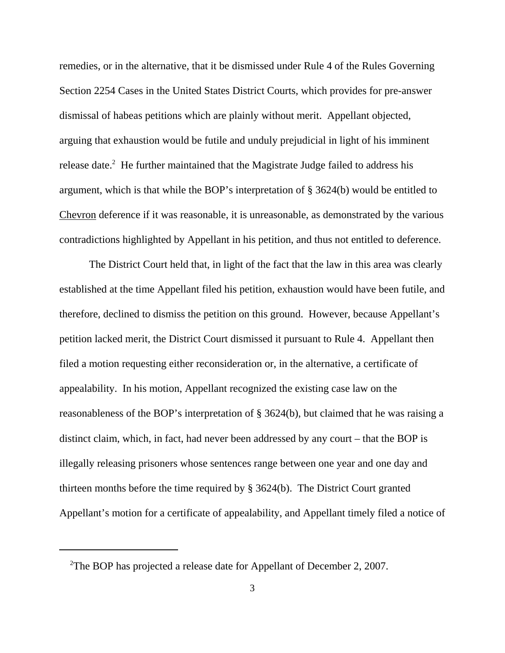remedies, or in the alternative, that it be dismissed under Rule 4 of the Rules Governing Section 2254 Cases in the United States District Courts, which provides for pre-answer dismissal of habeas petitions which are plainly without merit. Appellant objected, arguing that exhaustion would be futile and unduly prejudicial in light of his imminent release date.<sup>2</sup> He further maintained that the Magistrate Judge failed to address his argument, which is that while the BOP's interpretation of § 3624(b) would be entitled to Chevron deference if it was reasonable, it is unreasonable, as demonstrated by the various contradictions highlighted by Appellant in his petition, and thus not entitled to deference.

The District Court held that, in light of the fact that the law in this area was clearly established at the time Appellant filed his petition, exhaustion would have been futile, and therefore, declined to dismiss the petition on this ground. However, because Appellant's petition lacked merit, the District Court dismissed it pursuant to Rule 4. Appellant then filed a motion requesting either reconsideration or, in the alternative, a certificate of appealability. In his motion, Appellant recognized the existing case law on the reasonableness of the BOP's interpretation of § 3624(b), but claimed that he was raising a distinct claim, which, in fact, had never been addressed by any court – that the BOP is illegally releasing prisoners whose sentences range between one year and one day and thirteen months before the time required by § 3624(b). The District Court granted Appellant's motion for a certificate of appealability, and Appellant timely filed a notice of

<sup>&</sup>lt;sup>2</sup>The BOP has projected a release date for Appellant of December 2, 2007.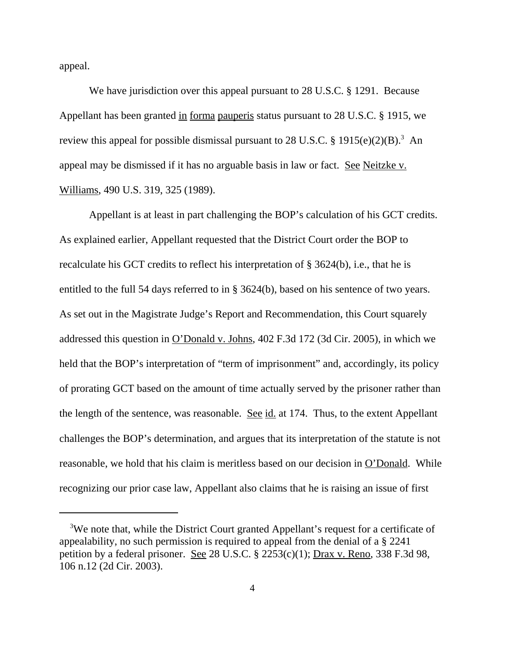appeal.

We have jurisdiction over this appeal pursuant to 28 U.S.C. § 1291. Because Appellant has been granted in forma pauperis status pursuant to 28 U.S.C. § 1915, we review this appeal for possible dismissal pursuant to 28 U.S.C.  $\S 1915(e)(2)(B)$ .<sup>3</sup> An appeal may be dismissed if it has no arguable basis in law or fact. See Neitzke v. Williams, 490 U.S. 319, 325 (1989).

Appellant is at least in part challenging the BOP's calculation of his GCT credits. As explained earlier, Appellant requested that the District Court order the BOP to recalculate his GCT credits to reflect his interpretation of § 3624(b), i.e., that he is entitled to the full 54 days referred to in § 3624(b), based on his sentence of two years. As set out in the Magistrate Judge's Report and Recommendation, this Court squarely addressed this question in O'Donald v. Johns, 402 F.3d 172 (3d Cir. 2005), in which we held that the BOP's interpretation of "term of imprisonment" and, accordingly, its policy of prorating GCT based on the amount of time actually served by the prisoner rather than the length of the sentence, was reasonable. See id. at 174. Thus, to the extent Appellant challenges the BOP's determination, and argues that its interpretation of the statute is not reasonable, we hold that his claim is meritless based on our decision in O'Donald. While recognizing our prior case law, Appellant also claims that he is raising an issue of first

<sup>&</sup>lt;sup>3</sup>We note that, while the District Court granted Appellant's request for a certificate of appealability, no such permission is required to appeal from the denial of a § 2241 petition by a federal prisoner. See 28 U.S.C. § 2253(c)(1); Drax v. Reno, 338 F.3d 98, 106 n.12 (2d Cir. 2003).